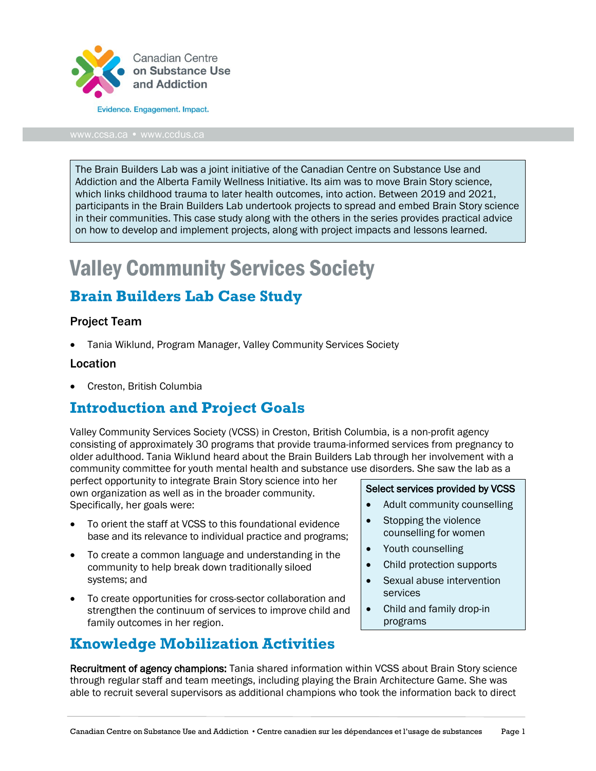

[www.ccsa.ca](http://www.ccsa.ca/) • www.ccdus.ca

The Brain Builders Lab was a joint initiative of the Canadian Centre on Substance Use and Addiction and the Alberta Family Wellness Initiative. Its aim was to move Brain Story science, which links childhood trauma to later health outcomes, into action. Between 2019 and 2021, participants in the Brain Builders Lab undertook projects to spread and embed Brain Story science in their communities. This case study along with the others in the series provides practical advice on how to develop and implement projects, along with project impacts and lessons learned.

# Valley Community Services Society

### **Brain Builders Lab Case Study**

#### Project Team

• Tania Wiklund, Program Manager, Valley Community Services Society

#### Location

• Creston, British Columbia

#### **Introduction and Project Goals**

Valley Community Services Society (VCSS) in Creston, British Columbia, is a non-profit agency consisting of approximately 30 programs that provide trauma-informed services from pregnancy to older adulthood. Tania Wiklund heard about the Brain Builders Lab through her involvement with a community committee for youth mental health and substance use disorders. She saw the lab as a

perfect opportunity to integrate Brain Story science into her own organization as well as in the broader community. Specifically, her goals were:

- To orient the staff at VCSS to this foundational evidence base and its relevance to individual practice and programs;
- To create a common language and understanding in the community to help break down traditionally siloed systems; and
- To create opportunities for cross-sector collaboration and strengthen the continuum of services to improve child and family outcomes in her region.

# **Knowledge Mobilization Activities**

Select services provided by VCSS

- Adult community counselling
- Stopping the violence counselling for women
- Youth counselling
- Child protection supports
- Sexual abuse intervention services
- Child and family drop-in programs

Recruitment of agency champions: Tania shared information within VCSS about Brain Story science through regular staff and team meetings, including playing the Brain Architecture Game. She was able to recruit several supervisors as additional champions who took the information back to direct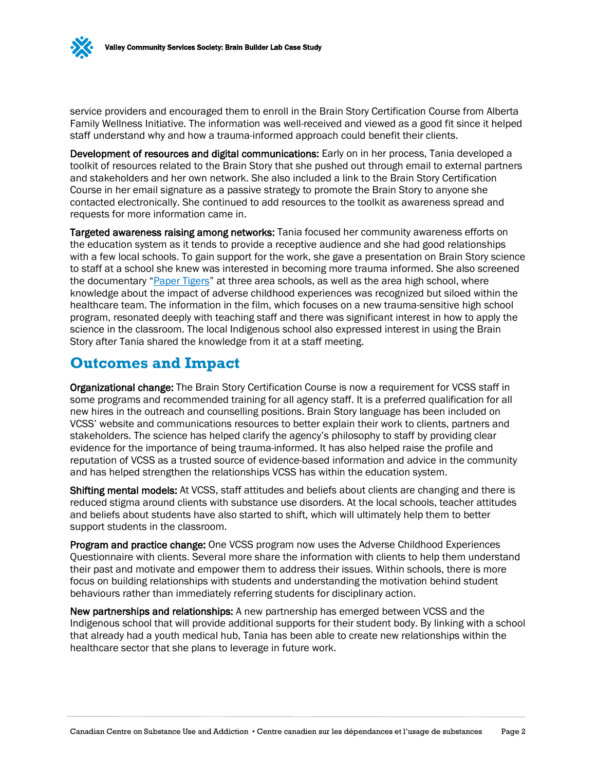

service providers and encouraged them to enroll in the Brain Story Certification Course from Alberta Family Wellness Initiative. The information was well-received and viewed as a good fit since it helped staff understand why and how a trauma-informed approach could benefit their clients.

Development of resources and digital communications: Early on in her process, Tania developed a toolkit of resources related to the Brain Story that she pushed out through email to external partners and stakeholders and her own network. She also included a link to the Brain Story Certification Course in her email signature as a passive strategy to promote the Brain Story to anyone she contacted electronically. She continued to add resources to the toolkit as awareness spread and requests for more information came in.

Targeted awareness raising among networks: Tania focused her community awareness efforts on the education system as it tends to provide a receptive audience and she had good relationships with a few local schools. To gain support for the work, she gave a presentation on Brain Story science to staff at a school she knew was interested in becoming more trauma informed. She also screened the documentary ["Paper Tigers"](https://kpjrfilms.co/paper-tigers/) at three area schools, as well as the area high school, where knowledge about the impact of adverse childhood experiences was recognized but siloed within the healthcare team. The information in the film, which focuses on a new trauma-sensitive high school program, resonated deeply with teaching staff and there was significant interest in how to apply the science in the classroom. The local Indigenous school also expressed interest in using the Brain Story after Tania shared the knowledge from it at a staff meeting.

#### **Outcomes and Impact**

Organizational change: The Brain Story Certification Course is now a requirement for VCSS staff in some programs and recommended training for all agency staff. It is a preferred qualification for all new hires in the outreach and counselling positions. Brain Story language has been included on VCSS' website and communications resources to better explain their work to clients, partners and stakeholders. The science has helped clarify the agency's philosophy to staff by providing clear evidence for the importance of being trauma-informed. It has also helped raise the profile and reputation of VCSS as a trusted source of evidence-based information and advice in the community and has helped strengthen the relationships VCSS has within the education system.

Shifting mental models: At VCSS, staff attitudes and beliefs about clients are changing and there is reduced stigma around clients with substance use disorders. At the local schools, teacher attitudes and beliefs about students have also started to shift, which will ultimately help them to better support students in the classroom.

Program and practice change: One VCSS program now uses the Adverse Childhood Experiences Questionnaire with clients. Several more share the information with clients to help them understand their past and motivate and empower them to address their issues. Within schools, there is more focus on building relationships with students and understanding the motivation behind student behaviours rather than immediately referring students for disciplinary action.

New partnerships and relationships: A new partnership has emerged between VCSS and the Indigenous school that will provide additional supports for their student body. By linking with a school that already had a youth medical hub, Tania has been able to create new relationships within the healthcare sector that she plans to leverage in future work.